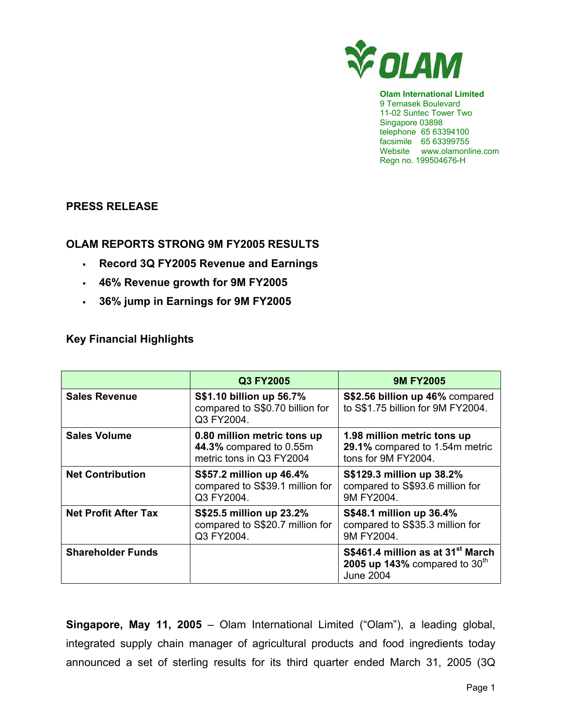

**Olam International Limited**  9 Temasek Boulevard 11-02 Suntec Tower Two Singapore 03898 telephone 65 63394100 facsimile 65 63399755 Website www.olamonline.com Regn no. 199504676-H

#### **PRESS RELEASE**

#### **OLAM REPORTS STRONG 9M FY2005 RESULTS**

- **Record 3Q FY2005 Revenue and Earnings**
- **46% Revenue growth for 9M FY2005**
- **36% jump in Earnings for 9M FY2005**

# **Key Financial Highlights**

|                             | Q3 FY2005                                                                          | <b>9M FY2005</b>                                                                                     |
|-----------------------------|------------------------------------------------------------------------------------|------------------------------------------------------------------------------------------------------|
| <b>Sales Revenue</b>        | S\$1.10 billion up 56.7%<br>compared to S\$0.70 billion for<br>Q3 FY2004.          | S\$2.56 billion up 46% compared<br>to S\$1.75 billion for 9M FY2004.                                 |
| <b>Sales Volume</b>         | 0.80 million metric tons up<br>44.3% compared to 0.55m<br>metric tons in Q3 FY2004 | 1.98 million metric tons up<br>29.1% compared to 1.54m metric<br>tons for 9M FY2004.                 |
| <b>Net Contribution</b>     | S\$57.2 million up 46.4%<br>compared to S\$39.1 million for<br>Q3 FY2004.          | S\$129.3 million up 38.2%<br>compared to S\$93.6 million for<br>9M FY2004.                           |
| <b>Net Profit After Tax</b> | S\$25.5 million up 23.2%<br>compared to S\$20.7 million for<br>Q3 FY2004.          | S\$48.1 million up 36.4%<br>compared to S\$35.3 million for<br>9M FY2004.                            |
| <b>Shareholder Funds</b>    |                                                                                    | S\$461.4 million as at 31 <sup>st</sup> March<br>2005 up 143% compared to $30th$<br><b>June 2004</b> |

**Singapore, May 11, 2005** – Olam International Limited ("Olam"), a leading global, integrated supply chain manager of agricultural products and food ingredients today announced a set of sterling results for its third quarter ended March 31, 2005 (3Q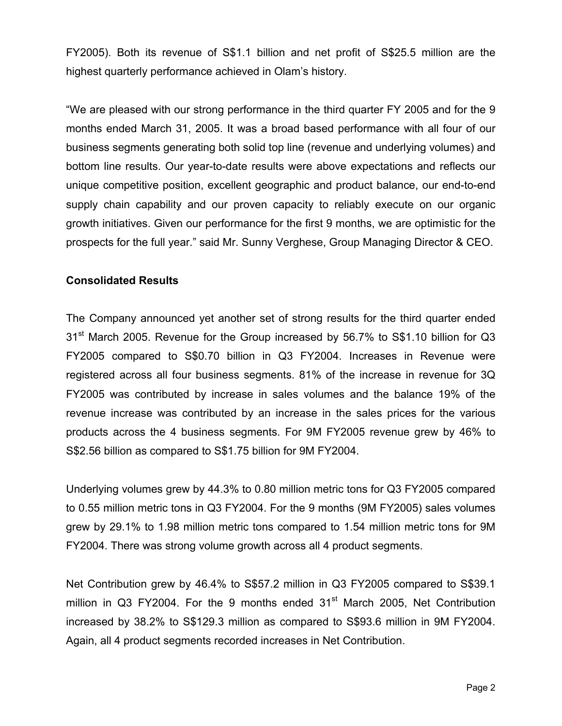FY2005). Both its revenue of S\$1.1 billion and net profit of S\$25.5 million are the highest quarterly performance achieved in Olam's history.

"We are pleased with our strong performance in the third quarter FY 2005 and for the 9 months ended March 31, 2005. It was a broad based performance with all four of our business segments generating both solid top line (revenue and underlying volumes) and bottom line results. Our year-to-date results were above expectations and reflects our unique competitive position, excellent geographic and product balance, our end-to-end supply chain capability and our proven capacity to reliably execute on our organic growth initiatives. Given our performance for the first 9 months, we are optimistic for the prospects for the full year." said Mr. Sunny Verghese, Group Managing Director & CEO.

#### **Consolidated Results**

The Company announced yet another set of strong results for the third quarter ended 31<sup>st</sup> March 2005. Revenue for the Group increased by 56.7% to S\$1.10 billion for Q3 FY2005 compared to S\$0.70 billion in Q3 FY2004. Increases in Revenue were registered across all four business segments. 81% of the increase in revenue for 3Q FY2005 was contributed by increase in sales volumes and the balance 19% of the revenue increase was contributed by an increase in the sales prices for the various products across the 4 business segments. For 9M FY2005 revenue grew by 46% to S\$2.56 billion as compared to S\$1.75 billion for 9M FY2004.

Underlying volumes grew by 44.3% to 0.80 million metric tons for Q3 FY2005 compared to 0.55 million metric tons in Q3 FY2004. For the 9 months (9M FY2005) sales volumes grew by 29.1% to 1.98 million metric tons compared to 1.54 million metric tons for 9M FY2004. There was strong volume growth across all 4 product segments.

Net Contribution grew by 46.4% to S\$57.2 million in Q3 FY2005 compared to S\$39.1 million in Q3 FY2004. For the 9 months ended  $31<sup>st</sup>$  March 2005, Net Contribution increased by 38.2% to S\$129.3 million as compared to S\$93.6 million in 9M FY2004. Again, all 4 product segments recorded increases in Net Contribution.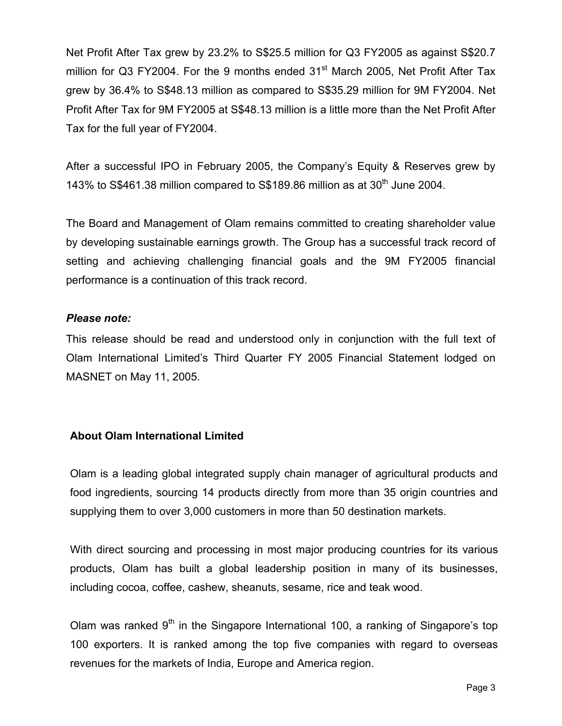Net Profit After Tax grew by 23.2% to S\$25.5 million for Q3 FY2005 as against S\$20.7 million for Q3 FY2004. For the 9 months ended  $31<sup>st</sup>$  March 2005, Net Profit After Tax grew by 36.4% to S\$48.13 million as compared to S\$35.29 million for 9M FY2004. Net Profit After Tax for 9M FY2005 at S\$48.13 million is a little more than the Net Profit After Tax for the full year of FY2004.

After a successful IPO in February 2005, the Company's Equity & Reserves grew by 143% to S\$461.38 million compared to S\$189.86 million as at 30<sup>th</sup> June 2004.

The Board and Management of Olam remains committed to creating shareholder value by developing sustainable earnings growth. The Group has a successful track record of setting and achieving challenging financial goals and the 9M FY2005 financial performance is a continuation of this track record.

### *Please note:*

This release should be read and understood only in conjunction with the full text of Olam International Limited's Third Quarter FY 2005 Financial Statement lodged on MASNET on May 11, 2005.

## **About Olam International Limited**

Olam is a leading global integrated supply chain manager of agricultural products and food ingredients, sourcing 14 products directly from more than 35 origin countries and supplying them to over 3,000 customers in more than 50 destination markets.

With direct sourcing and processing in most major producing countries for its various products, Olam has built a global leadership position in many of its businesses, including cocoa, coffee, cashew, sheanuts, sesame, rice and teak wood.

Olam was ranked  $9<sup>th</sup>$  in the Singapore International 100, a ranking of Singapore's top 100 exporters. It is ranked among the top five companies with regard to overseas revenues for the markets of India, Europe and America region.